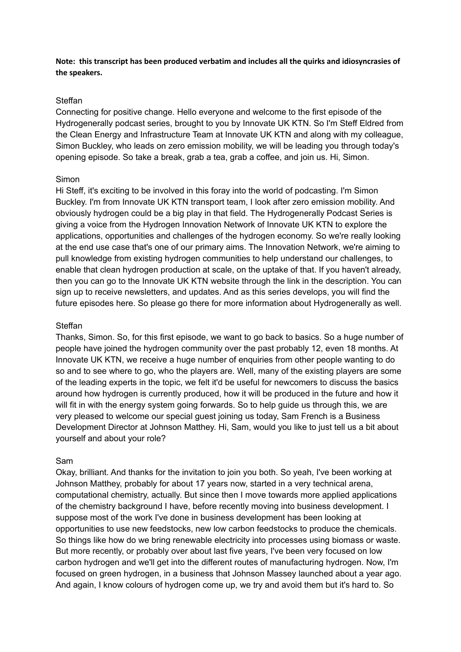**Note: this transcript has been produced verbatim and includes all the quirks and idiosyncrasies of the speakers.**

## **Steffan**

Connecting for positive change. Hello everyone and welcome to the first episode of the Hydrogenerally podcast series, brought to you by Innovate UK KTN. So I'm Steff Eldred from the Clean Energy and Infrastructure Team at Innovate UK KTN and along with my colleague, Simon Buckley, who leads on zero emission mobility, we will be leading you through today's opening episode. So take a break, grab a tea, grab a coffee, and join us. Hi, Simon.

## Simon

Hi Steff, it's exciting to be involved in this foray into the world of podcasting. I'm Simon Buckley. I'm from Innovate UK KTN transport team, I look after zero emission mobility. And obviously hydrogen could be a big play in that field. The Hydrogenerally Podcast Series is giving a voice from the Hydrogen Innovation Network of Innovate UK KTN to explore the applications, opportunities and challenges of the hydrogen economy. So we're really looking at the end use case that's one of our primary aims. The Innovation Network, we're aiming to pull knowledge from existing hydrogen communities to help understand our challenges, to enable that clean hydrogen production at scale, on the uptake of that. If you haven't already, then you can go to the Innovate UK KTN website through the link in the description. You can sign up to receive newsletters, and updates. And as this series develops, you will find the future episodes here. So please go there for more information about Hydrogenerally as well.

## Steffan

Thanks, Simon. So, for this first episode, we want to go back to basics. So a huge number of people have joined the hydrogen community over the past probably 12, even 18 months. At Innovate UK KTN, we receive a huge number of enquiries from other people wanting to do so and to see where to go, who the players are. Well, many of the existing players are some of the leading experts in the topic, we felt it'd be useful for newcomers to discuss the basics around how hydrogen is currently produced, how it will be produced in the future and how it will fit in with the energy system going forwards. So to help guide us through this, we are very pleased to welcome our special guest joining us today, Sam French is a Business Development Director at Johnson Matthey. Hi, Sam, would you like to just tell us a bit about yourself and about your role?

### Sam

Okay, brilliant. And thanks for the invitation to join you both. So yeah, I've been working at Johnson Matthey, probably for about 17 years now, started in a very technical arena, computational chemistry, actually. But since then I move towards more applied applications of the chemistry background I have, before recently moving into business development. I suppose most of the work I've done in business development has been looking at opportunities to use new feedstocks, new low carbon feedstocks to produce the chemicals. So things like how do we bring renewable electricity into processes using biomass or waste. But more recently, or probably over about last five years, I've been very focused on low carbon hydrogen and we'll get into the different routes of manufacturing hydrogen. Now, I'm focused on green hydrogen, in a business that Johnson Massey launched about a year ago. And again, I know colours of hydrogen come up, we try and avoid them but it's hard to. So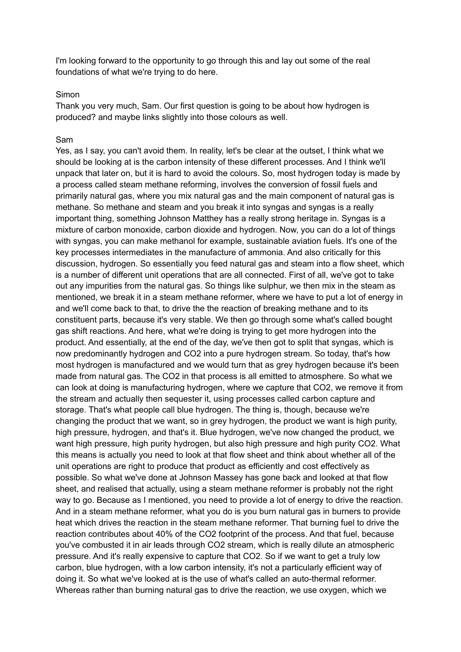I'm looking forward to the opportunity to go through this and lay out some of the real foundations of what we're trying to do here.

### Simon

Thank you very much, Sam. Our first question is going to be about how hydrogen is produced? and maybe links slightly into those colours as well.

### Sam

Yes, as I say, you can't avoid them. In reality, let's be clear at the outset, I think what we should be looking at is the carbon intensity of these different processes. And I think we'll unpack that later on, but it is hard to avoid the colours. So, most hydrogen today is made by a process called steam methane reforming, involves the conversion of fossil fuels and primarily natural gas, where you mix natural gas and the main component of natural gas is methane. So methane and steam and you break it into syngas and syngas is a really important thing, something Johnson Matthey has a really strong heritage in. Syngas is a mixture of carbon monoxide, carbon dioxide and hydrogen. Now, you can do a lot of things with syngas, you can make methanol for example, sustainable aviation fuels. It's one of the key processes intermediates in the manufacture of ammonia. And also critically for this discussion, hydrogen. So essentially you feed natural gas and steam into a flow sheet, which is a number of different unit operations that are all connected. First of all, we've got to take out any impurities from the natural gas. So things like sulphur, we then mix in the steam as mentioned, we break it in a steam methane reformer, where we have to put a lot of energy in and we'll come back to that, to drive the the reaction of breaking methane and to its constituent parts, because it's very stable. We then go through some what's called bought gas shift reactions. And here, what we're doing is trying to get more hydrogen into the product. And essentially, at the end of the day, we've then got to split that syngas, which is now predominantly hydrogen and CO2 into a pure hydrogen stream. So today, that's how most hydrogen is manufactured and we would turn that as grey hydrogen because it's been made from natural gas. The CO2 in that process is all emitted to atmosphere. So what we can look at doing is manufacturing hydrogen, where we capture that CO2, we remove it from the stream and actually then sequester it, using processes called carbon capture and storage. That's what people call blue hydrogen. The thing is, though, because we're changing the product that we want, so in grey hydrogen, the product we want is high purity, high pressure, hydrogen, and that's it. Blue hydrogen, we've now changed the product, we want high pressure, high purity hydrogen, but also high pressure and high purity CO2. What this means is actually you need to look at that flow sheet and think about whether all of the unit operations are right to produce that product as efficiently and cost effectively as possible. So what we've done at Johnson Massey has gone back and looked at that flow sheet, and realised that actually, using a steam methane reformer is probably not the right way to go. Because as I mentioned, you need to provide a lot of energy to drive the reaction. And in a steam methane reformer, what you do is you burn natural gas in burners to provide heat which drives the reaction in the steam methane reformer. That burning fuel to drive the reaction contributes about 40% of the CO2 footprint of the process. And that fuel, because you've combusted it in air leads through CO2 stream, which is really dilute an atmospheric pressure. And it's really expensive to capture that CO2. So if we want to get a truly low carbon, blue hydrogen, with a low carbon intensity, it's not a particularly efficient way of doing it. So what we've looked at is the use of what's called an auto-thermal reformer. Whereas rather than burning natural gas to drive the reaction, we use oxygen, which we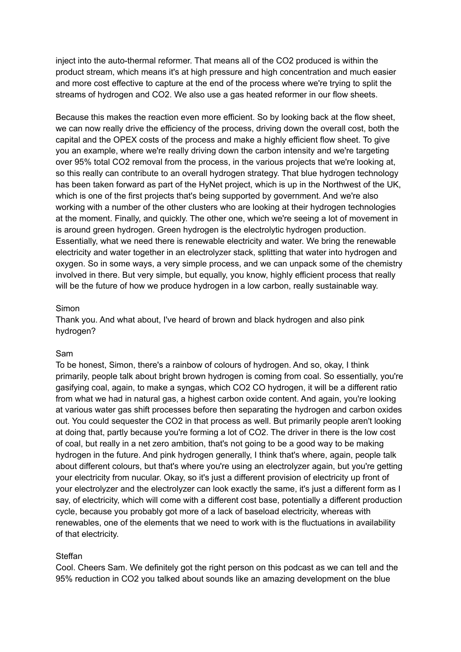inject into the auto-thermal reformer. That means all of the CO2 produced is within the product stream, which means it's at high pressure and high concentration and much easier and more cost effective to capture at the end of the process where we're trying to split the streams of hydrogen and CO2. We also use a gas heated reformer in our flow sheets.

Because this makes the reaction even more efficient. So by looking back at the flow sheet, we can now really drive the efficiency of the process, driving down the overall cost, both the capital and the OPEX costs of the process and make a highly efficient flow sheet. To give you an example, where we're really driving down the carbon intensity and we're targeting over 95% total CO2 removal from the process, in the various projects that we're looking at, so this really can contribute to an overall hydrogen strategy. That blue hydrogen technology has been taken forward as part of the HyNet project, which is up in the Northwest of the UK, which is one of the first projects that's being supported by government. And we're also working with a number of the other clusters who are looking at their hydrogen technologies at the moment. Finally, and quickly. The other one, which we're seeing a lot of movement in is around green hydrogen. Green hydrogen is the electrolytic hydrogen production. Essentially, what we need there is renewable electricity and water. We bring the renewable electricity and water together in an electrolyzer stack, splitting that water into hydrogen and oxygen. So in some ways, a very simple process, and we can unpack some of the chemistry involved in there. But very simple, but equally, you know, highly efficient process that really will be the future of how we produce hydrogen in a low carbon, really sustainable way.

## Simon

Thank you. And what about, I've heard of brown and black hydrogen and also pink hydrogen?

# Sam

To be honest, Simon, there's a rainbow of colours of hydrogen. And so, okay, I think primarily, people talk about bright brown hydrogen is coming from coal. So essentially, you're gasifying coal, again, to make a syngas, which CO2 CO hydrogen, it will be a different ratio from what we had in natural gas, a highest carbon oxide content. And again, you're looking at various water gas shift processes before then separating the hydrogen and carbon oxides out. You could sequester the CO2 in that process as well. But primarily people aren't looking at doing that, partly because you're forming a lot of CO2. The driver in there is the low cost of coal, but really in a net zero ambition, that's not going to be a good way to be making hydrogen in the future. And pink hydrogen generally, I think that's where, again, people talk about different colours, but that's where you're using an electrolyzer again, but you're getting your electricity from nucular. Okay, so it's just a different provision of electricity up front of your electrolyzer and the electrolyzer can look exactly the same, it's just a different form as I say, of electricity, which will come with a different cost base, potentially a different production cycle, because you probably got more of a lack of baseload electricity, whereas with renewables, one of the elements that we need to work with is the fluctuations in availability of that electricity.

# Steffan

Cool. Cheers Sam. We definitely got the right person on this podcast as we can tell and the 95% reduction in CO2 you talked about sounds like an amazing development on the blue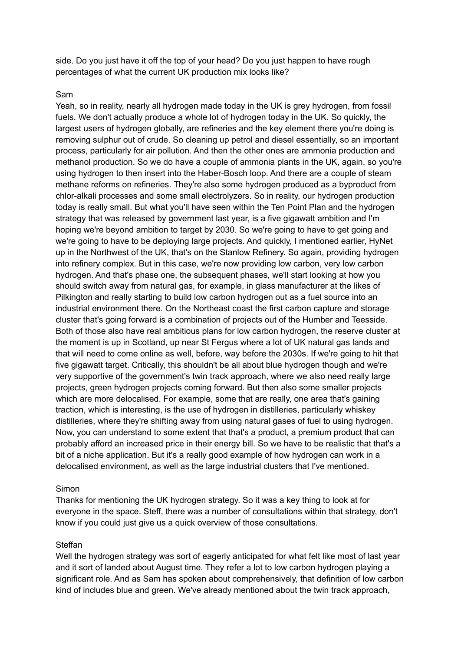side. Do you just have it off the top of your head? Do you just happen to have rough percentages of what the current UK production mix looks like?

# Sam

Yeah, so in reality, nearly all hydrogen made today in the UK is grey hydrogen, from fossil fuels. We don't actually produce a whole lot of hydrogen today in the UK. So quickly, the largest users of hydrogen globally, are refineries and the key element there you're doing is removing sulphur out of crude. So cleaning up petrol and diesel essentially, so an important process, particularly for air pollution. And then the other ones are ammonia production and methanol production. So we do have a couple of ammonia plants in the UK, again, so you're using hydrogen to then insert into the Haber-Bosch loop. And there are a couple of steam methane reforms on refineries. They're also some hydrogen produced as a byproduct from chlor-alkali processes and some small electrolyzers. So in reality, our hydrogen production today is really small. But what you'll have seen within the Ten Point Plan and the hydrogen strategy that was released by government last year, is a five gigawatt ambition and I'm hoping we're beyond ambition to target by 2030. So we're going to have to get going and we're going to have to be deploying large projects. And quickly, I mentioned earlier, HyNet up in the Northwest of the UK, that's on the Stanlow Refinery. So again, providing hydrogen into refinery complex. But in this case, we're now providing low carbon, very low carbon hydrogen. And that's phase one, the subsequent phases, we'll start looking at how you should switch away from natural gas, for example, in glass manufacturer at the likes of Pilkington and really starting to build low carbon hydrogen out as a fuel source into an industrial environment there. On the Northeast coast the first carbon capture and storage cluster that's going forward is a combination of projects out of the Humber and Teesside. Both of those also have real ambitious plans for low carbon hydrogen, the reserve cluster at the moment is up in Scotland, up near St Fergus where a lot of UK natural gas lands and that will need to come online as well, before, way before the 2030s. If we're going to hit that five gigawatt target. Critically, this shouldn't be all about blue hydrogen though and we're very supportive of the government's twin track approach, where we also need really large projects, green hydrogen projects coming forward. But then also some smaller projects which are more delocalised. For example, some that are really, one area that's gaining traction, which is interesting, is the use of hydrogen in distilleries, particularly whiskey distilleries, where they're shifting away from using natural gases of fuel to using hydrogen. Now, you can understand to some extent that that's a product, a premium product that can probably afford an increased price in their energy bill. So we have to be realistic that that's a bit of a niche application. But it's a really good example of how hydrogen can work in a delocalised environment, as well as the large industrial clusters that I've mentioned.

### Simon

Thanks for mentioning the UK hydrogen strategy. So it was a key thing to look at for everyone in the space. Steff, there was a number of consultations within that strategy, don't know if you could just give us a quick overview of those consultations.

### Steffan

Well the hydrogen strategy was sort of eagerly anticipated for what felt like most of last year and it sort of landed about August time. They refer a lot to low carbon hydrogen playing a significant role. And as Sam has spoken about comprehensively, that definition of low carbon kind of includes blue and green. We've already mentioned about the twin track approach,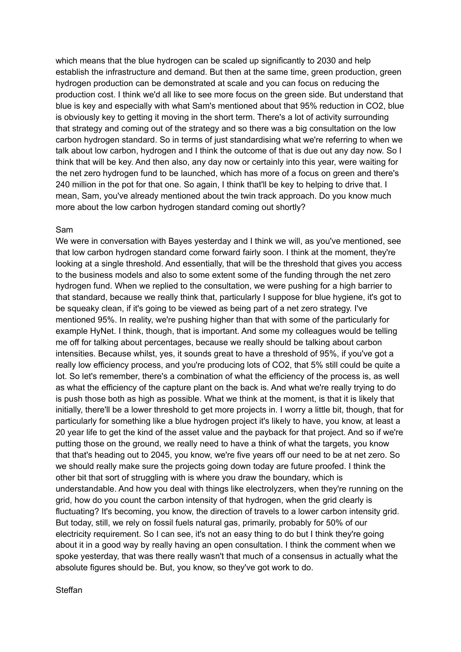which means that the blue hydrogen can be scaled up significantly to 2030 and help establish the infrastructure and demand. But then at the same time, green production, green hydrogen production can be demonstrated at scale and you can focus on reducing the production cost. I think we'd all like to see more focus on the green side. But understand that blue is key and especially with what Sam's mentioned about that 95% reduction in CO2, blue is obviously key to getting it moving in the short term. There's a lot of activity surrounding that strategy and coming out of the strategy and so there was a big consultation on the low carbon hydrogen standard. So in terms of just standardising what we're referring to when we talk about low carbon, hydrogen and I think the outcome of that is due out any day now. So I think that will be key. And then also, any day now or certainly into this year, were waiting for the net zero hydrogen fund to be launched, which has more of a focus on green and there's 240 million in the pot for that one. So again, I think that'll be key to helping to drive that. I mean, Sam, you've already mentioned about the twin track approach. Do you know much more about the low carbon hydrogen standard coming out shortly?

## Sam

We were in conversation with Bayes yesterday and I think we will, as you've mentioned, see that low carbon hydrogen standard come forward fairly soon. I think at the moment, they're looking at a single threshold. And essentially, that will be the threshold that gives you access to the business models and also to some extent some of the funding through the net zero hydrogen fund. When we replied to the consultation, we were pushing for a high barrier to that standard, because we really think that, particularly I suppose for blue hygiene, it's got to be squeaky clean, if it's going to be viewed as being part of a net zero strategy. I've mentioned 95%. In reality, we're pushing higher than that with some of the particularly for example HyNet. I think, though, that is important. And some my colleagues would be telling me off for talking about percentages, because we really should be talking about carbon intensities. Because whilst, yes, it sounds great to have a threshold of 95%, if you've got a really low efficiency process, and you're producing lots of CO2, that 5% still could be quite a lot. So let's remember, there's a combination of what the efficiency of the process is, as well as what the efficiency of the capture plant on the back is. And what we're really trying to do is push those both as high as possible. What we think at the moment, is that it is likely that initially, there'll be a lower threshold to get more projects in. I worry a little bit, though, that for particularly for something like a blue hydrogen project it's likely to have, you know, at least a 20 year life to get the kind of the asset value and the payback for that project. And so if we're putting those on the ground, we really need to have a think of what the targets, you know that that's heading out to 2045, you know, we're five years off our need to be at net zero. So we should really make sure the projects going down today are future proofed. I think the other bit that sort of struggling with is where you draw the boundary, which is understandable. And how you deal with things like electrolyzers, when they're running on the grid, how do you count the carbon intensity of that hydrogen, when the grid clearly is fluctuating? It's becoming, you know, the direction of travels to a lower carbon intensity grid. But today, still, we rely on fossil fuels natural gas, primarily, probably for 50% of our electricity requirement. So I can see, it's not an easy thing to do but I think they're going about it in a good way by really having an open consultation. I think the comment when we spoke yesterday, that was there really wasn't that much of a consensus in actually what the absolute figures should be. But, you know, so they've got work to do.

Steffan